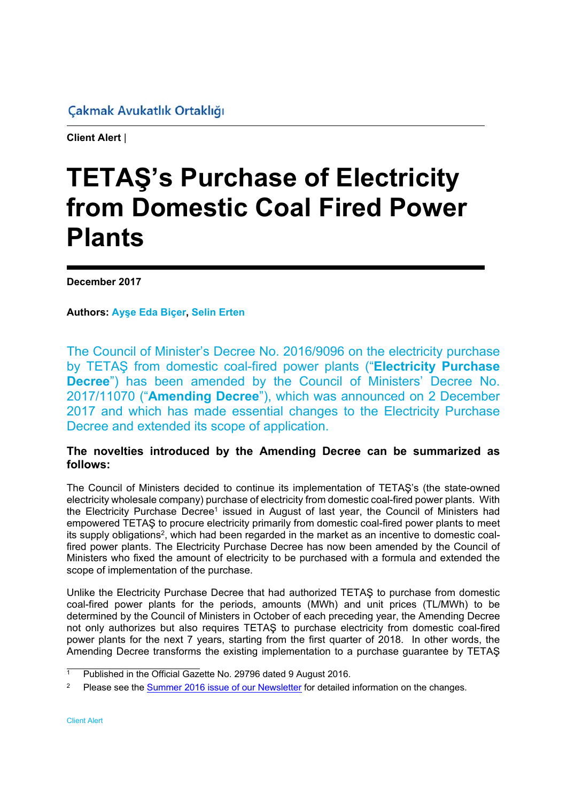## Çakmak Avukatlık Ortaklığı

**Client Alert** |

## **TETAŞ's Purchase of Electricity from Domestic Coal Fired Power Plants**

**December 2017** 

**Authors: Ayşe Eda Biçer, Selin Erten**

The Council of Minister's Decree No. 2016/9096 on the electricity purchase by TETAŞ from domestic coal-fired power plants ("**Electricity Purchase Decree**") has been amended by the Council of Ministers' Decree No. 2017/11070 ("**Amending Decree**"), which was announced on 2 December 2017 and which has made essential changes to the Electricity Purchase Decree and extended its scope of application.

## **The novelties introduced by the Amending Decree can be summarized as follows:**

The Council of Ministers decided to continue its implementation of TETAŞ's (the state-owned electricity wholesale company) purchase of electricity from domestic coal-fired power plants. With the Electricity Purchase Decree<sup>1</sup> issued in August of last year, the Council of Ministers had empowered TETAŞ to procure electricity primarily from domestic coal-fired power plants to meet its supply obligations<sup>2</sup>, which had been regarded in the market as an incentive to domestic coalfired power plants. The Electricity Purchase Decree has now been amended by the Council of Ministers who fixed the amount of electricity to be purchased with a formula and extended the scope of implementation of the purchase.

Unlike the Electricity Purchase Decree that had authorized TETAŞ to purchase from domestic coal-fired power plants for the periods, amounts (MWh) and unit prices (TL/MWh) to be determined by the Council of Ministers in October of each preceding year, the Amending Decree not only authorizes but also requires TETAŞ to purchase electricity from domestic coal-fired power plants for the next 7 years, starting from the first quarter of 2018. In other words, the Amending Decree transforms the existing implementation to a purchase guarantee by TETAŞ

<sup>1</sup> Published in the Official Gazette No. 29796 dated 9 August 2016.

<sup>&</sup>lt;sup>2</sup> Please see the Summer [2016 issue of our](http://www.cakmak.av.tr/newsletters/TurkishEnergyInfraNewsletterSummer.pdf) Newsletter for detailed information on the changes.